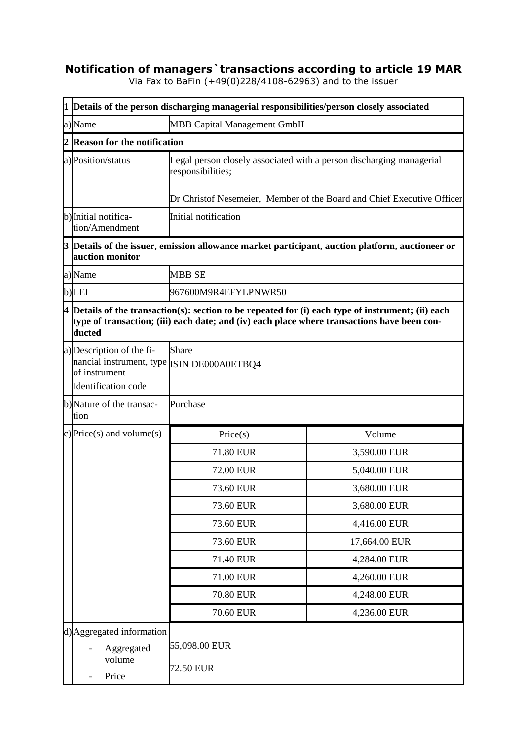## **Notification of managers`transactions according to article 19 MAR**

Via Fax to BaFin (+49(0)228/4108-62963) and to the issuer

|                                                                        | 1 Details of the person discharging managerial responsibilities/person closely associated                                                                                                                                 |                                                                                           |                                                                                                                        |  |
|------------------------------------------------------------------------|---------------------------------------------------------------------------------------------------------------------------------------------------------------------------------------------------------------------------|-------------------------------------------------------------------------------------------|------------------------------------------------------------------------------------------------------------------------|--|
|                                                                        | a)Name                                                                                                                                                                                                                    | <b>MBB Capital Management GmbH</b>                                                        |                                                                                                                        |  |
|                                                                        | 2 Reason for the notification                                                                                                                                                                                             |                                                                                           |                                                                                                                        |  |
|                                                                        | a)Position/status                                                                                                                                                                                                         | Legal person closely associated with a person discharging managerial<br>responsibilities; |                                                                                                                        |  |
| Dr Christof Nesemeier, Member of the Board and Chief Executive Officer |                                                                                                                                                                                                                           |                                                                                           |                                                                                                                        |  |
|                                                                        | b) Initial notifica-<br>tion/Amendment                                                                                                                                                                                    | Initial notification                                                                      |                                                                                                                        |  |
|                                                                        | auction monitor                                                                                                                                                                                                           |                                                                                           | $3$ $\mathbf{\mathsf{D}}$ etails of the issuer, emission allowance market participant, auction platform, auctioneer or |  |
|                                                                        | a)Name                                                                                                                                                                                                                    | <b>MBB SE</b>                                                                             |                                                                                                                        |  |
|                                                                        | b)LEI                                                                                                                                                                                                                     | 967600M9R4EFYLPNWR50                                                                      |                                                                                                                        |  |
|                                                                        | $\vert 4 \vert$ Details of the transaction(s): section to be repeated for (i) each type of instrument; (ii) each<br>type of transaction; (iii) each date; and (iv) each place where transactions have been con-<br>ducted |                                                                                           |                                                                                                                        |  |
|                                                                        | a) Description of the fi-<br>nancial instrument, type ISIN DE000A0ETBQ4<br>of instrument<br>Identification code                                                                                                           | Share                                                                                     |                                                                                                                        |  |
|                                                                        | b)Nature of the transac-<br>tion                                                                                                                                                                                          | Purchase                                                                                  |                                                                                                                        |  |
|                                                                        | c) Price(s) and volume(s)                                                                                                                                                                                                 | Price(s)                                                                                  | Volume                                                                                                                 |  |
|                                                                        |                                                                                                                                                                                                                           | 71.80 EUR                                                                                 | 3,590.00 EUR                                                                                                           |  |
|                                                                        |                                                                                                                                                                                                                           | 72.00 EUR                                                                                 | 5,040.00 EUR                                                                                                           |  |
|                                                                        |                                                                                                                                                                                                                           | 73.60 EUR                                                                                 | 3,680.00 EUR                                                                                                           |  |
|                                                                        |                                                                                                                                                                                                                           | 73.60 EUR                                                                                 | 3,680.00 EUR                                                                                                           |  |
|                                                                        |                                                                                                                                                                                                                           | 73.60 EUR                                                                                 | 4,416.00 EUR                                                                                                           |  |
|                                                                        |                                                                                                                                                                                                                           | 73.60 EUR                                                                                 | 17,664.00 EUR                                                                                                          |  |
|                                                                        |                                                                                                                                                                                                                           | 71.40 EUR                                                                                 | 4,284.00 EUR                                                                                                           |  |
|                                                                        |                                                                                                                                                                                                                           | 71.00 EUR                                                                                 | 4,260.00 EUR                                                                                                           |  |
|                                                                        |                                                                                                                                                                                                                           | 70.80 EUR                                                                                 | 4,248.00 EUR                                                                                                           |  |
|                                                                        |                                                                                                                                                                                                                           | 70.60 EUR                                                                                 | 4,236.00 EUR                                                                                                           |  |
|                                                                        | d) Aggregated information<br>Aggregated<br>volume<br>Price                                                                                                                                                                | 55,098.00 EUR<br>72.50 EUR                                                                |                                                                                                                        |  |